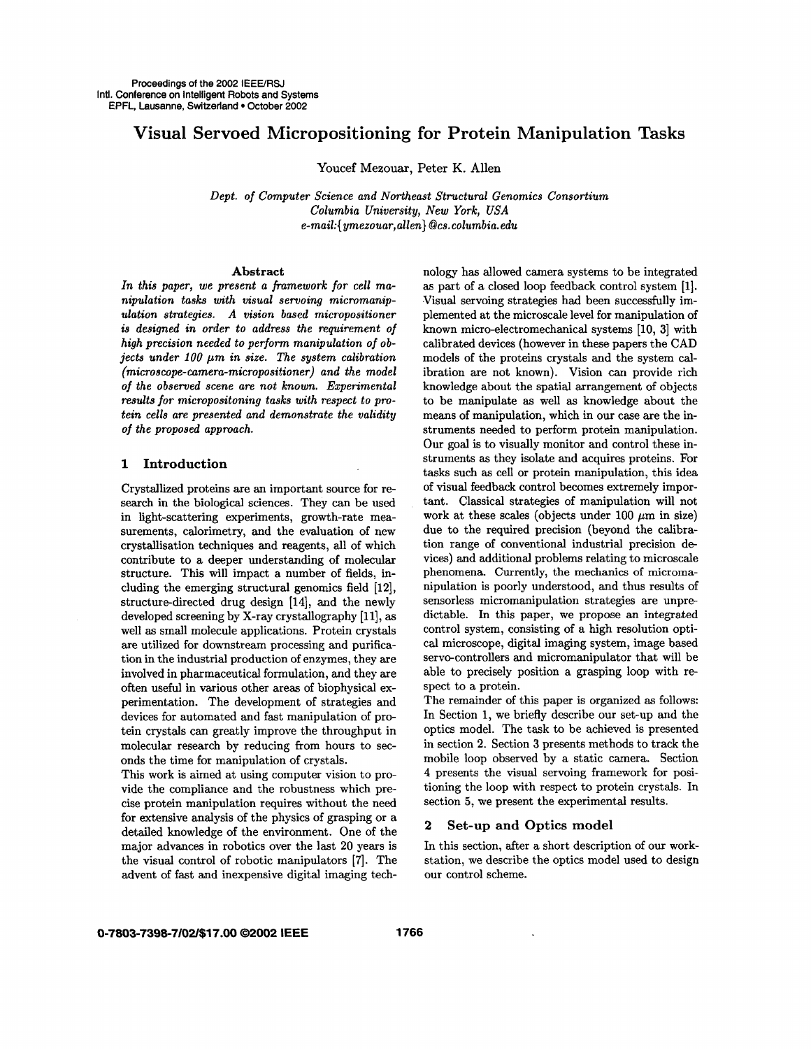# **Visual Servoed Micropositioning for Protein Manipulation Tasks**

Youcef Mezouar, Peter K. Allen

*Dept. of Computer Science and Northeast Structural Genomics Consortium Columbia University, New York, USA e-mail:{ ymezouar,allen}* **@cs.** *columbia. edu* 

### **Abstract**

*In this paper, we present a framework for cell manipulation tasks with visual servoing micromanapdation strategies. A vision based micropositioner is designed in order to address the requirement of high precision needed to perform manipulation of objects under 100 µm in size. The system calibration (microscope-camera-micropositioner) and the model of the observed scene are not known. Experimental results for micropositoning tasks with respect to protein cells are presented and demonstrate the validity of the proposed approach.* 

### **1 Introduction**

Crystallized proteins are an important source for research in the biological sciences. They can be used in light-scattering experiments, growth-rate measurements, calorimetry, and the evaluation of new crystallisation techniques and reagents, all of which contribute to a deeper understanding of molecular structure. This will impact a number of fields, including the emerging structural genomics field **[12],**  structure-directed drug design [14], and the newly developed screening by X-ray crystallography **[ll], as**  well **as** small molecule applications. Protein crystals are utilized for downstream processing and purification in the industrial production of enzymes, they are involved in pharmaceutical formulation, and they are often useful in various other areas of biophysical experimentation. The development of strategies and devices for automated and fast manipulation of protein crystals can greatly improve the throughput in molecular research by reducing from hours to seconds the time for manipulation of crystals.

This work is aimed at using computer vision to provide the compliance and the robustness which precise protein manipulation requires without the need for extensive analysis of the physics of grasping or a detailed knowledge of the environment. One of the major advances in robotics over the last **20** years is the visual control of robotic manipulators **[7].** The advent of fast and inexpensive digital imaging technology has allowed camera systems to be integrated **as** part of a closed loop feedback control system [l]. Visual servoing strategies had been successfully implemented at the microscale level for manipulation of known micro-electromechanical systems [lo, **31** with calibrated devices (however in these papers the CAD models of the proteins crystals and the system calibration are not known). Vision *can* provide rich knowledge about the spatial arrangement of objects to be manipulate as well as knowledge about the means of manipulation, which in our case are the instruments needed to perform protein manipulation. **Our** goal is to visually monitor and control these instruments **as** they isolate and acquires proteins. For tasks such as cell or protein manipulation, this idea of visual feedback control becomes extremely important. Classical strategies of manipulation will not work at these scales (objects under  $100 \ \mu m$  in size) due to the required precision (beyond the calibration range of conventional industrial precision de vices) and additional problems relating to microscale phenomena. Currently, the mechanics **of microma**nipulation is poorly understood, and thus results of sensorless micromanipulation strategies are unpredictable. In this paper, we propose an integrated control system, consisting of a high resolution optical microscope, digital imaging system, image based servo-controllers and micromanipulator that will. be able to precisely position a grasping loop with respect to a protein.

The remainder of this paper is organized **as** follows: In Section 1, we briefly describe our set-up and the optics model. The task to be achieved is presented in section **2.** Section **3** presents methods to track the mobile loop observed by a static camera. Section **4** presents the visual servoing framework for positioning the loop with respect to protein crystals. In section **5,** we present the experimental results.

### **2 Set-up and Optics model**

In this section, after a short description of our workstation, we describe the optics model used to design our control scheme.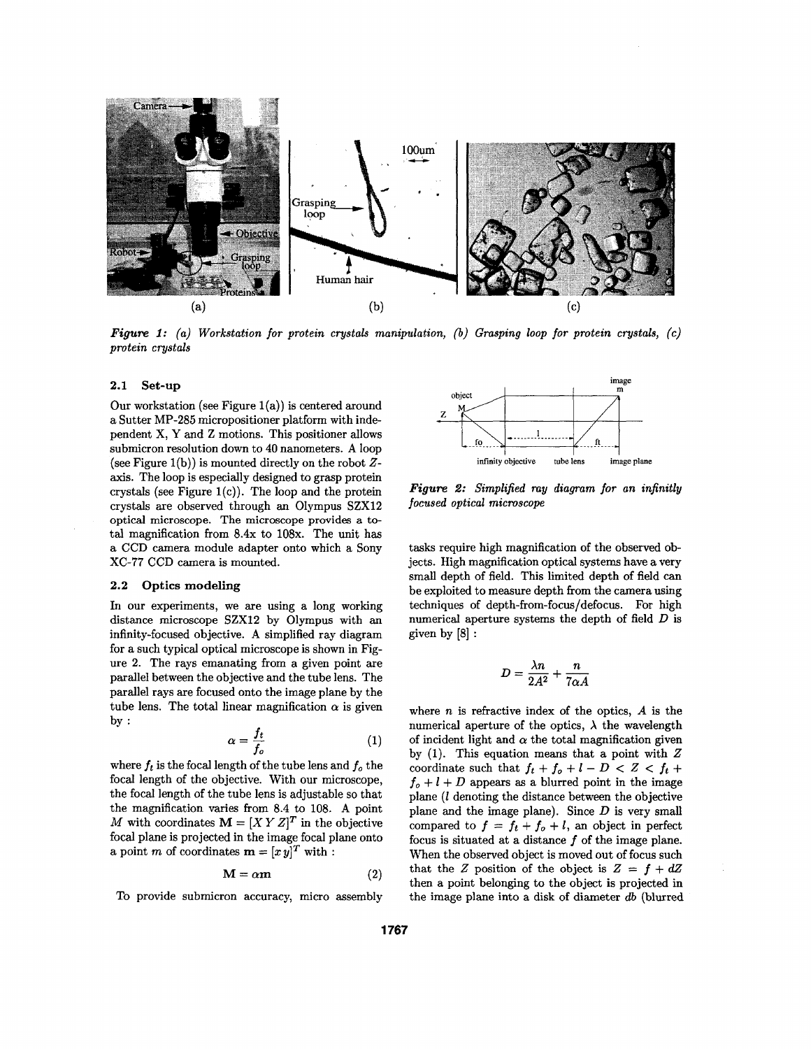

*Figure 1: (a) Workstation for protein crystals manipulation, (b) Grasping loop for protean crystals, (e) protein crystals* 

#### **2.1 Set-up**

Our workstation (see Figure  $1(a)$ ) is centered around a Sutter MP-285 micropositioner platform with independent x, **Y** and Z motions. This positioner allows submicron resolution down to **40** nanometers. **A** loop (see Figure l(b)) is mounted directly on the robot *Z*axis. The loop is especially designed to grasp protein crystals (see Figure  $1(c)$ ). The loop and the protein crystals are observed through an Olympus SZXl2 optical microscope. The microscope provides *a* total magnification from  $8.4x$  to  $108x$ . The unit has a **CCD** camera module adapter onto which a Sony **XC-77 CCD** camera is mounted.

### **2.2 Optics modeling**

In our experiments, we are using a long working distance microscope SZX12 by Olympus with an infinity-focused objective. **A** simplified ray diagram for a such typical optical microscope is shown in Figure 2. The rays emanating from a given point are parallel between the objective and the tube lens. The parallel rays are focused onto the image plane by the tube lens. The total linear magnification  $\alpha$  is given by :

$$
\alpha = \frac{f_t}{f_o} \tag{1}
$$

where  $f_t$  is the focal length of the tube lens and  $f_o$  the focal length of the objective. With our microscope, the focal length of the tube lens is adjustable so that the magnification varies from 8.4 to 108. **A** point *M* with coordinates  $M = [XY Z]^T$  in the objective focal plane is projected in the image focal plane onto a point *m* of coordinates  $\mathbf{m} = [x \, y]^T$  with :

$$
\mathbf{M} = \alpha \mathbf{m} \tag{2}
$$

To provide submicron accuracy, micro assembly



*Figure 2: Simplified my diagram for an infinitly focused optical microscope* 

tasks require high magnification of the observed objects. High magnification optical systems have a very small depth of field. This limited depth of field can be exploited to measure depth from the camera using techniques of depth-from-focus/defocus. For high numerical aperture systems the depth of field  $D$  is given by [8] :

$$
D = \frac{\lambda n}{2A^2} + \frac{n}{7\alpha A}
$$

where *n* is refractive index of the optics, *A* is the numerical aperture of the optics,  $\lambda$  the wavelength of incident light and  $\alpha$  the total magnification given by (1). This equation means that a point with *Z*  coordinate such that  $f_t + f_o + l - D < Z < f_t +$  $f_o + l + D$  appears as a blurred point in the image plane *(1* denoting the distance between the objective plane and the image plane). Since *D* is very small compared to  $f = f_t + f_o + l$ , an object in perfect focus is situated at a distance *f* of the image plane. When the observed object is moved out of focus such that the *Z* position of the object is  $Z = f + dZ$ then a point belonging to the object is projected in the image plane into a disk of diameter *db* (blurred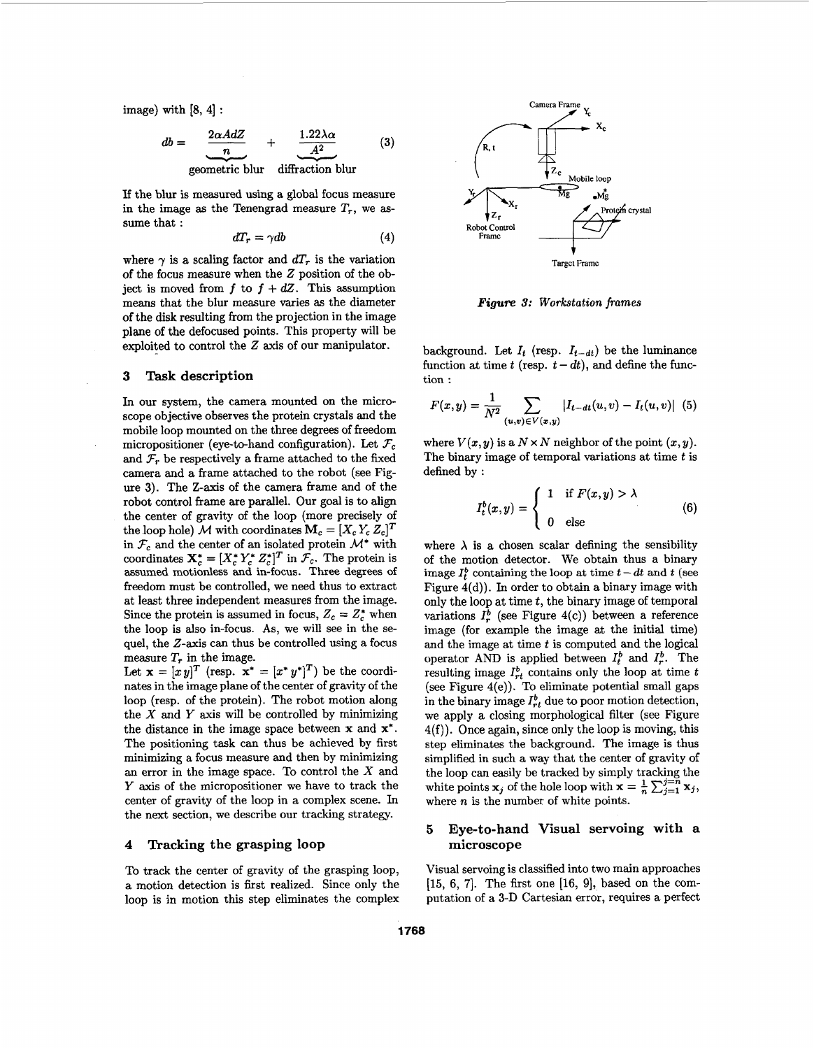with [8, 4]:  
\n
$$
db = \frac{2\alpha AdZ}{n} + \frac{1.22\lambda\alpha}{A^2}
$$
\ngeometric blur diffraction blur (3)

If the blur is measured using a global focus measure in the image as the Tenengrad measure  $T_r$ , we assume that :

$$
dT_r = \gamma db \tag{4}
$$

where  $\gamma$  is a scaling factor and  $dT_r$  is the variation of the focus measure when the *Z* position of the object is moved from  $f$  to  $f + dZ$ . This assumption means that the blur measure varies **as** the diameter of the disk resulting from the projection in the image plane **of** the defocused points. This property will be exploited to control the 2 axis of our manipulator.

### **3 Task description**

In our system, the camera mounted on the microscope objective observes the protein crystals **and** the mobile loop mounted on the three degrees of freedom micropositioner (eye-to-hand configuration). Let  $\mathcal{F}_c$ and  $\mathcal{F}_r$  be respectively a frame attached to the fixed camera and a frame attached to the robot (see Figure **3).** The **Z-axis** of the camera frame and of the robot control frame are parallel. Our goal is to align the center of gravity of the loop (more precisely of the loop hole) *M* with coordinates  $\mathbf{M}_c = [X_c Y_c Z_c]^T$ in  $\mathcal{F}_c$  and the center of an isolated protein  $\mathcal{M}^*$  with coordinates  $\mathbf{X}_{c}^{*} = [X_{c}^{*} Y_{c}^{*} Z_{c}^{*}]^{T}$  in  $\mathcal{F}_{c}$ . The protein is assumed motionless **and** in-focus. Three degrees of freedom must be controlled, we need thus to extract at least three independent measures from the image. Since the protein is assumed in focus,  $Z_c = Z_c^*$  when the loop is also in-focus. **As,** we will see in the sequel, the Z-axis can thus be controlled using a focus measure *T,* in the image.

Let  $\mathbf{x} = [x y]^T$  (resp.  $\mathbf{x}^* = [x^* y^*]^T$ ) be the coordinates in the image plane of the center of gravity of the loop (resp. of the protein). The robot motion along the *X* and *Y* axis will be controlled by minimizing the distance in the image space between **x** and **x\*.**  The positioning task can thus be achieved by first minimizing a focus measure and then by minimizing **an** error in the image space. To control the *X* and *Y* axis of the micropositioner we have to track the center of gravity of the loop in a complex scene. In the next section, we describe our tracking strategy.

# **4 Tracking the grasping loop**

To track the center of gravity of the grasping loop, a motion detection is first realized. Since only the loop is in motion this step eliminates the complex



*Figurn* **3:** *Workstation frames* 

background. Let  $I_t$  (resp.  $I_{t-dt}$ ) be the luminance background. Let  $I_t$  (resp.  $I_{t-dt}$ ) be the luminance<br>function at time  $t$  (resp.  $t - dt$ ), and define the function :

function at time t (resp. 
$$
t - dt
$$
), and define the function :  
\n
$$
F(x,y) = \frac{1}{N^2} \sum_{(u,v) \in V(x,y)} |I_{t-dt}(u,v) - I_t(u,v)| \quad (5)
$$

where  $V(x, y)$  is a  $N \times N$  neighbor of the point  $(x, y)$ . The binary image of temporal variations at time *t* is defined by :

$$
I_t^b(x,y) = \begin{cases} 1 & \text{if } F(x,y) > \lambda \\ 0 & \text{else} \end{cases}
$$
 (6)

where  $\lambda$  is a chosen scalar defining the sensibility of the motion detector. We obtain thus **a** binary image  $I_t^b$  containing the loop at time  $t - dt$  and  $t$  (see Figure 4(d)). In order to obtain a binary image with only the loop at time *t,* the binary image of temporal variations  $I_r^b$  (see Figure 4(c)) between a reference image (for example the image at the initial time) and the image at time *t* is computed and the logical operator AND is applied between  $I_t^b$  and  $I_r^b$ . The resulting image  $I_{rt}^b$  contains only the loop at time  $t$ (see Figure 4(e)). To eliminate potential small gaps in the binary image  $I_{rt}^b$  due to poor motion detection, we apply a closing morphological filter (see Figure **4(f)).** Once again, since only the loop is moving, this step eliminates the background. The image is thus simplified in such a way that the center of gravity of the loop can easily be tracked by simply tracking the white points **x**<sub>j</sub> of the hole loop with  $\mathbf{x} = \frac{1}{n} \sum_{j=1}^{n} \mathbf{x}_j$ , where *n* is the number of white points.

## *5* **Eye-to-hand Visual servoing with a microscope**

Visual servoing is classified into two main approaches  $[15, 6, 7]$ . The first one  $[16, 9]$ , based on the computation of a **3-D** Cartesian error, requires a perfect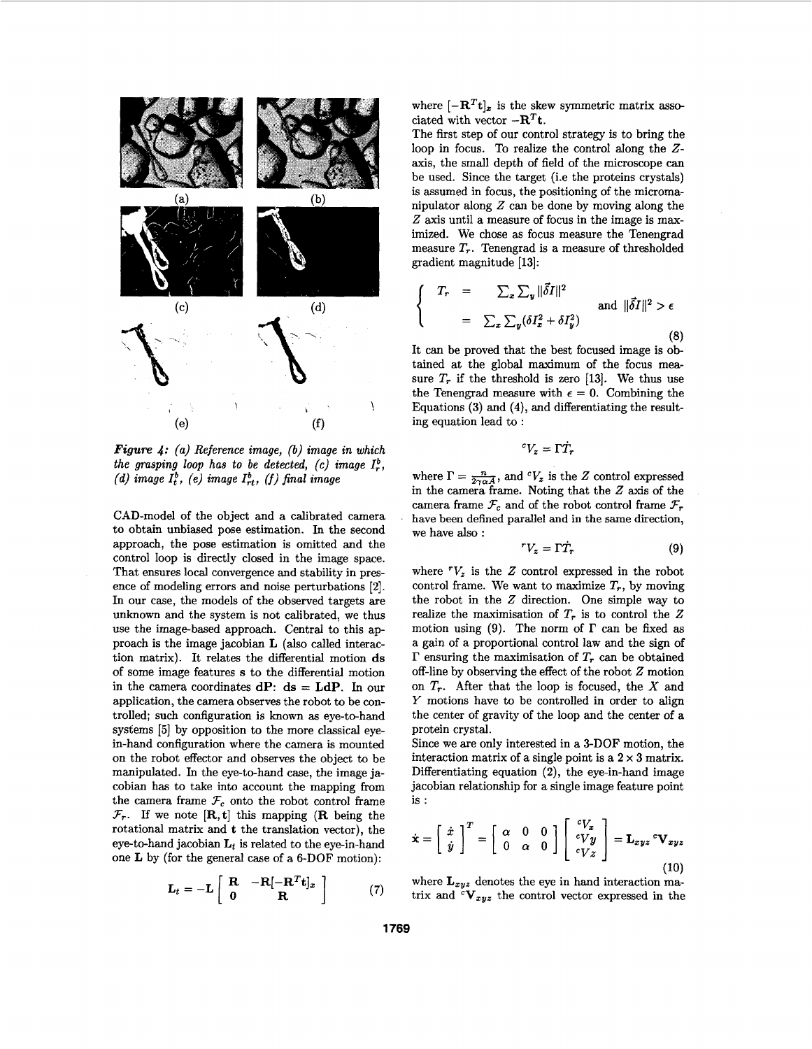

*Figure 4: (a) Reference image,* (b) *image in which the grasping loop has to be detected, (c) image*  $I_r^b$ , *(d) image*  $I_t^b$ *, (e) image*  $I_{rt}^b$ *, (f) final image* 

CAD-model of the object and a calibrated camera to obtain unbiased pose estimation. In the second approach, the pose estimation is omitted and the control loop is directly closed in the image space. That ensures local convergence and stability in presence of modeling errors and noise perturbations [2]. In our case, the models of the observed targets are unknown and the system is not calibrated, we thus use the image-based approach. Central to this approach is the image jacobian **L** (also called interaction matrix). It relates the differential motion **ds**  of some image features **s** to the differential motion in the camera coordinates  $dP$ :  $ds = LdP$ . In our application, the camera observes the robot to be controlled; such configuration is known **as** eye-to-hand systems [5] by opposition to the more classical eyein-hand configuration where the camera is mounted on the robot effector and observes the object to be manipulated. In the eye-to-hand case, the image jacobian has to take into account the mapping from the camera frame  $\mathcal{F}_c$  onto the robot control frame  $\mathcal{F}_r$ . If we note  $[\mathbf{R}, \mathbf{t}]$  this mapping  $(\mathbf{R} \text{ being the})$ rotational matrix and **t** the translation vector), the eye-to-hand jacobian  $L_t$  is related to the eye-in-hand one **L** by (for the general case of a 6-DOF motion):

$$
\mathbf{L}_t = -\mathbf{L} \left[ \begin{array}{cc} \mathbf{R} & -\mathbf{R}[-\mathbf{R}^T \mathbf{t}]_x \\ \mathbf{0} & \mathbf{R} \end{array} \right] \tag{7}
$$

where  $[-R^Tt]_x$  is the skew symmetric matrix associated with vector  $-R^Tt$ .

The first step of our control strategy is to bring the loop in focus. To realize the control along the *Z*axis, the small depth of field of the microscope *can*  be used. Since the target (i.e the proteins crystals) is assumed in focus, the positioning of the micromanipulator along *2* can be done by moving along the *2* axis until a measure of focus in the image is maximized. We chose as focus measure the Tenengrad measure  $T_r$ . Tenengrad is a measure of thresholded gradient magnitude [13]:

$$
\begin{cases}\nT_r = \sum_x \sum_y \|\vec{\delta}I\|^2 \\
= \sum_x \sum_y (\delta I_x^2 + \delta I_y^2)\n\end{cases} \text{ and } \|\vec{\delta}I\|^2 > \epsilon
$$
\n(8)

It can be proved that the best focused image is obtained at the global maximum of the focus measure  $T_r$  if the threshold is zero [13]. We thus use the Tenengrad measure with  $\epsilon = 0$ . Combining the Equations **(3)** and **(4),** and differentiating the resulting equation lead to :

$$
{}^cV_z=\Gamma\dot{T}_r
$$

where  $\Gamma = \frac{n}{2\gamma \alpha A}$ , and  ${}^cV_z$  is the *Z* control expressed in the camera frame. Noting that the 2 axis of the camera frame  $\mathcal{F}_c$  and of the robot control frame  $\mathcal{F}_r$ have been defined parallel and **in** the same direction, we have also :

$$
{}^{r}V_{z} = \Gamma \dot{T}_{r} \tag{9}
$$

where  $V_z$  is the Z control expressed in the robot control frame. We want to maximize  $T_r$ , by moving the robot in the 2 direction. One simple way to realize the maximisation of  $T_r$  is to control the  $Z$ motion using  $(9)$ . The norm of  $\Gamma$  can be fixed as a gain of a proportional control law and the sign of **I'** ensuring the maximisation of *T, can* be obtained off-line by observing the effect of the robot *Z* motion on *T,.* After that the loop is focused, the *X* and *Y* motions have to be controlled in order to align the center of gravity of the loop and the center of a protein crystal.

Since we are only interested in a 3-DOF motion, the interaction matrix of a single point is a  $2 \times 3$  matrix. Differentiating equation **(2),** the eye-in-hand image jacobian relationship for a single image feature point is :

$$
\dot{\mathbf{x}} = \begin{bmatrix} \dot{x} \\ \dot{y} \end{bmatrix}^T = \begin{bmatrix} \alpha & 0 & 0 \\ 0 & \alpha & 0 \end{bmatrix} \begin{bmatrix} ^cV_x \\ ^cVy \\ ^cVz \end{bmatrix} = \mathbf{L}_{xyz} {}^c\mathbf{V}_{xyz}
$$
(10)

where  $\mathbf{L}_{xyz}$  denotes the eye in hand interaction matrix and  ${}^{c}V_{xyz}$  the control vector expressed in the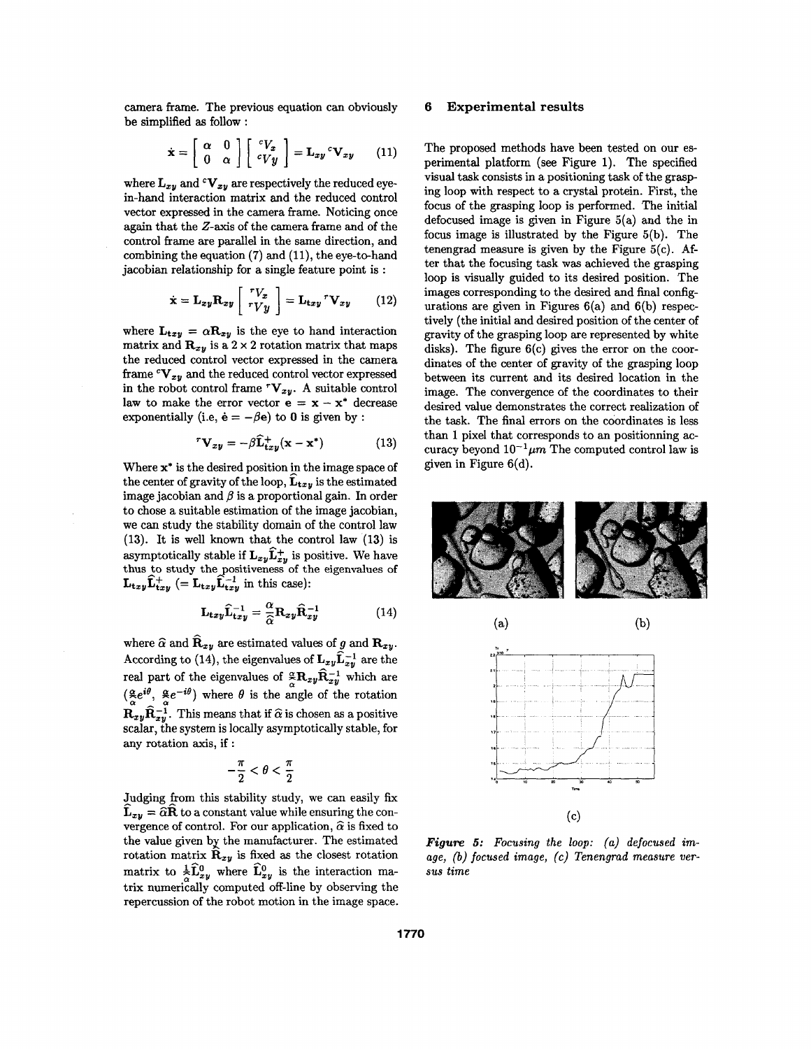camera frame. The previous equation can obviously be simplified **as** follow :

$$
\dot{\mathbf{x}} = \left[ \begin{array}{cc} \alpha & 0 \\ 0 & \alpha \end{array} \right] \left[ \begin{array}{c} {}^{c}V_{x} \\ {}^{c}V_{y} \end{array} \right] = \mathbf{L}_{xy} {}^{c}\mathbf{V}_{xy} \qquad (11)
$$

where  $\mathbf{L}_{xy}$  and  $\mathbf{V}_{xy}$  are respectively the reduced eyein-hand interaction matrix and the reduced control vector expressed in the camera frame. Noticing once again that the Z-axis of the camera frame and of the control frame are parallel in the same direction, and combining the equation **(7)** and **(ll),** the eye-to-hand

jacobian relationship for a single feature point is :  
\n
$$
\dot{\mathbf{x}} = \mathbf{L}_{xy} \mathbf{R}_{xy} \begin{bmatrix} rV_x \\ rVy \end{bmatrix} = \mathbf{L}_{txy}{}^r \mathbf{V}_{xy}
$$
(12)

where  $\mathbf{L}_{\mathbf{t}xy} = \alpha \mathbf{R}_{xy}$  is the eye to hand interaction matrix and  $\mathbf{R}_{xy}$  is a  $2 \times 2$  rotation matrix that maps the reduced control vector expressed in the camera frame  ${}^cV_{xy}$  and the reduced control vector expressed in the robot control frame  $^rV_{xy}$ . A suitable control law to make the error vector  $\mathbf{e} = \mathbf{x} - \mathbf{x}^*$  decrease exponentially (i.e,  $\dot{\mathbf{e}} = -\beta \mathbf{e}$ ) to 0 is given by :

$$
{}^{r}\mathbf{V}_{xy} = -\beta \widehat{\mathbf{L}}_{txy}^{+}(\mathbf{x} - \mathbf{x}^{*})
$$
 (13)

Where  $x^*$  is the desired position in the image space of the center of gravity of the loop,  $\mathbf{L}_{\mathbf{t}xy}$  is the estimated image jacobian and  $\beta$  is a proportional gain. In order to chose a suitable estimation of the image jacobian, we can study the stability domain of the control law **(13).** It is well known that the control law **(13)** is asymptotically stable if  $\mathbf{L}_{xy} \mathbf{L}_{xy}^+$  is positive. We have thus to study the positiveness of the eigenvalues of  $\mathbf{L}_{\mathbf{t}xy}\hat{\mathbf{L}}_{\mathbf{t}xy}^+$  (=  $\mathbf{L}_{\mathbf{t}xy}\hat{\mathbf{L}}_{\mathbf{t}xy}^{-1}$  in this case):

$$
\mathbf{L}_{txy}\hat{\mathbf{L}}_{txy}^{-1} = \frac{\alpha}{\hat{\alpha}} \mathbf{R}_{xy}\hat{\mathbf{R}}_{xy}^{-1}
$$
 (14)

where  $\hat{\alpha}$  and  $\hat{\mathbf{R}}_{xy}$  are estimated values of *g* and  $\mathbf{R}_{xy}$ . According to (14), the eigenvalues of  $\mathbf{L}_{xy} \mathbf{L}_{xy}^{-1}$  are the real part of the eigenvalues of  $\frac{\alpha}{\alpha} \mathbf{R}_{xy} \hat{\mathbf{R}}_{xy}^{-1}$  which are  $(\frac{\alpha}{\epsilon}e^{i\theta}, \frac{\alpha}{\epsilon}e^{-i\theta})$  where  $\theta$  is the angle of the rotation  $\mathbf{R}_{xy}\hat{\mathbf{R}}_{xy}^{-1}$ . This means that if  $\hat{\alpha}$  is chosen as a positive scalax, the system is locally asymptotically stable, for any rotation axis, if :

$$
-\frac{\pi}{2} < \theta < \frac{\pi}{2}
$$

Judging from this stability study, we can easily fix  $\mathbf{L}_{xy} = \hat{\boldsymbol{\alpha}} \mathbf{R}$  to a constant value while ensuring the convergence of control. For our application,  $\hat{\alpha}$  is fixed to the value given by the manufacturer. The estimated rotation matrix  $\hat{\mathbf{R}}_{xy}$  is fixed as the closest rotation matrix to  $\frac{1}{2}\hat{\mathbf{L}}_{xy}^0$  where  $\hat{\mathbf{L}}_{xy}^0$  is the interaction matrix numerically computed off-line by observing the repercussion of the robot motion in the image space.

### **6 Experimental results**

The proposed methods have been tested on our esperimental platform (see Figure 1). The specified visual task consists in a positioning task of the **grasp**ing loop with respect to a crystal protein. First, the focus of the grasping loop is performed. The initial defocused image is given in Figure 5(a) and the in focus image is illustrated by the Figure 5(b). The tenengrad measure is given by the Figure  $5(c)$ . After that the focusing task **was** achieved the grasping loop is visually guided to its desired position. The images corresponding to the desired and final configurations are given in Figures  $6(a)$  and  $6(b)$  respectively (the initial and desired position of the center of gravity of the grasping loop are represented by white disks). The figure 6(c) gives the error on the coordinates of the center of gravity of the grasping loop between its current and its desired location in the image. The convergence of the coordinates to their desired value demonstrates the correct realization of the task. The final errors on the coordinates is less than **1** pixel that corresponds to an positionning **ac**curacy beyond  $10^{-1} \mu m$  The computed control law is given in Figure 6(d).





*Figure 5: Focusing the loop: (a) defocused image,* (b) *focused image, (c) Tenengrad measure uersus time*